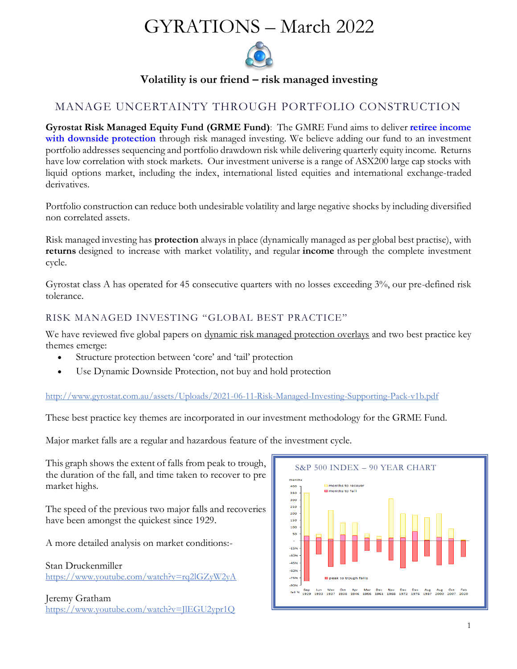# GYRATIONS – March 2022



**Volatility is our friend – risk managed investing**

# MANAGE UNCERTAINTY THROUGH PORTFOLIO CONSTRUCTION

**Gyrostat Risk Managed Equity Fund (GRME Fund)**: The GMRE Fund aims to deliver **retiree income with downside protection** through risk managed investing. We believe adding our fund to an investment portfolio addresses sequencing and portfolio drawdown risk while delivering quarterly equity income. Returns have low correlation with stock markets. Our investment universe is a range of ASX200 large cap stocks with liquid options market, including the index, international listed equities and international exchange-traded derivatives.

Portfolio construction can reduce both undesirable volatility and large negative shocks by including diversified non correlated assets.

Risk managed investing has **protection** always in place (dynamically managed as per global best practise), with **returns** designed to increase with market volatility, and regular **income** through the complete investment cycle.

Gyrostat class A has operated for 45 consecutive quarters with no losses exceeding 3%, our pre-defined risk tolerance.

## RISK MANAGED INVESTING "GLOBAL BEST PRACTICE"

We have reviewed five global papers on [dynamic risk managed protection overlays](http://www.gyrostat.com.au/news/risk-managed-investing-global-best-practice-supporting-pack/) and two best practice key themes emerge:

- Structure protection between 'core' and 'tail' protection
- Use Dynamic Downside Protection, not buy and hold protection

## <http://www.gyrostat.com.au/assets/Uploads/2021-06-11-Risk-Managed-Investing-Supporting-Pack-v1b.pdf>

These best practice key themes are incorporated in our investment methodology for the GRME Fund.

Major market falls are a regular and hazardous feature of the investment cycle.

This graph shows the extent of falls from peak to trough, the duration of the fall, and time taken to recover to pre market highs.

The speed of the previous two major falls and recoveries have been amongst the quickest since 1929.

A more detailed analysis on market conditions:-

Stan Druckenmiller <https://www.youtube.com/watch?v=rq2lGZyW2yA>

Jeremy Gratham <https://www.youtube.com/watch?v=JlEGU2ypr1Q>

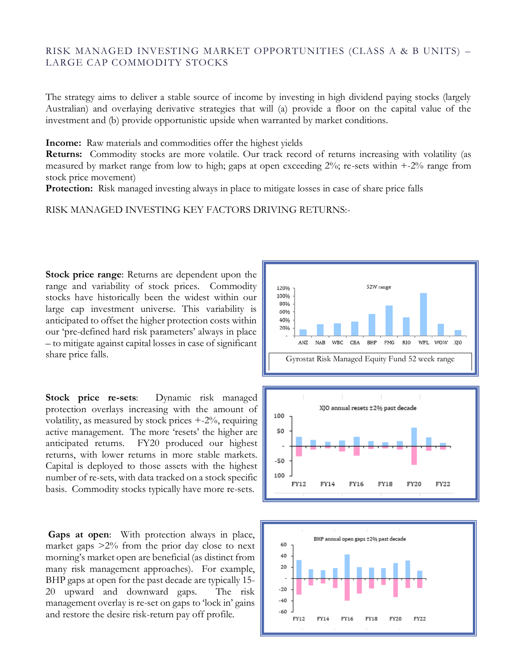## RISK MANAGED INVESTING MARKET OPPORTUNITIES (CLASS A & B UNITS) – LARGE CAP COMMODITY STOCKS

The strategy aims to deliver a stable source of income by investing in high dividend paying stocks (largely Australian) and overlaying derivative strategies that will (a) provide a floor on the capital value of the investment and (b) provide opportunistic upside when warranted by market conditions.

**Income:** Raw materials and commodities offer the highest yields

**Returns:** Commodity stocks are more volatile. Our track record of returns increasing with volatility (as measured by market range from low to high; gaps at open exceeding  $2\%$ ; re-sets within  $+2\%$  range from stock price movement)

**Protection:** Risk managed investing always in place to mitigate losses in case of share price falls

RISK MANAGED INVESTING KEY FACTORS DRIVING RETURNS:-

**Stock price range**: Returns are dependent upon the range and variability of stock prices. Commodity stocks have historically been the widest within our large cap investment universe. This variability is anticipated to offset the higher protection costs within our 'pre-defined hard risk parameters' always in place – to mitigate against capital losses in case of significant share price falls.

**Stock price re-sets**: Dynamic risk managed protection overlays increasing with the amount of volatility, as measured by stock prices +-2%, requiring active management. The more 'resets' the higher are anticipated returns. FY20 produced our highest returns, with lower returns in more stable markets. Capital is deployed to those assets with the highest number of re-sets, with data tracked on a stock specific basis. Commodity stocks typically have more re-sets.

**Gaps at open**: With protection always in place, market gaps  $>2\%$  from the prior day close to next morning's market open are beneficial (as distinct from many risk management approaches). For example, BHP gaps at open for the past decade are typically 15- 20 upward and downward gaps. The risk management overlay is re-set on gaps to 'lock in' gains and restore the desire risk-return pay off profile.





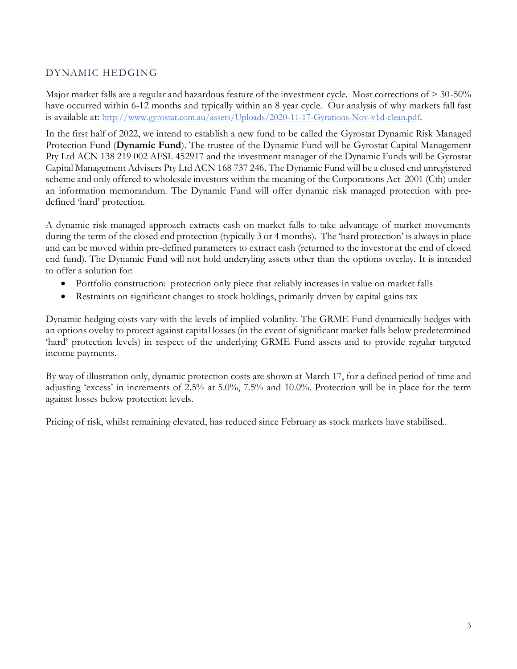## DYNAMIC HEDGING

Major market falls are a regular and hazardous feature of the investment cycle. Most corrections of > 30-50% have occurred within 6-12 months and typically within an 8 year cycle. Our analysis of why markets fall fast is available at: <http://www.gyrostat.com.au/assets/Uploads/2020-11-17-Gyrations-Nov-v1d-clean.pdf>.

In the first half of 2022, we intend to establish a new fund to be called the Gyrostat Dynamic Risk Managed Protection Fund (**Dynamic Fund**). The trustee of the Dynamic Fund will be Gyrostat Capital Management Pty Ltd ACN 138 219 002 AFSL 452917 and the investment manager of the Dynamic Funds will be Gyrostat Capital Management Advisers Pty Ltd ACN 168 737 246. The Dynamic Fund will be a closed end unregistered scheme and only offered to wholesale investors within the meaning of the Corporations Act 2001 (Cth) under an information memorandum. The Dynamic Fund will offer dynamic risk managed protection with predefined 'hard' protection.

A dynamic risk managed approach extracts cash on market falls to take advantage of market movements during the term of the closed end protection (typically 3 or 4 months). The 'hard protection' is always in place and can be moved within pre-defined parameters to extract cash (returned to the investor at the end of closed end fund). The Dynamic Fund will not hold underyling assets other than the options overlay. It is intended to offer a solution for:

- Portfolio construction: protection only piece that reliably increases in value on market falls
- Restraints on significant changes to stock holdings, primarily driven by capital gains tax

Dynamic hedging costs vary with the levels of implied volatility. The GRME Fund dynamically hedges with an options ovelay to protect against capital losses (in the event of significant market falls below predetermined 'hard' protection levels) in respect of the underlying GRME Fund assets and to provide regular targeted income payments.

By way of illustration only, dynamic protection costs are shown at March 17, for a defined period of time and adjusting 'excess' in increments of 2.5% at 5.0%, 7.5% and 10.0%. Protection will be in place for the term against losses below protection levels.

Pricing of risk, whilst remaining elevated, has reduced since February as stock markets have stabilised..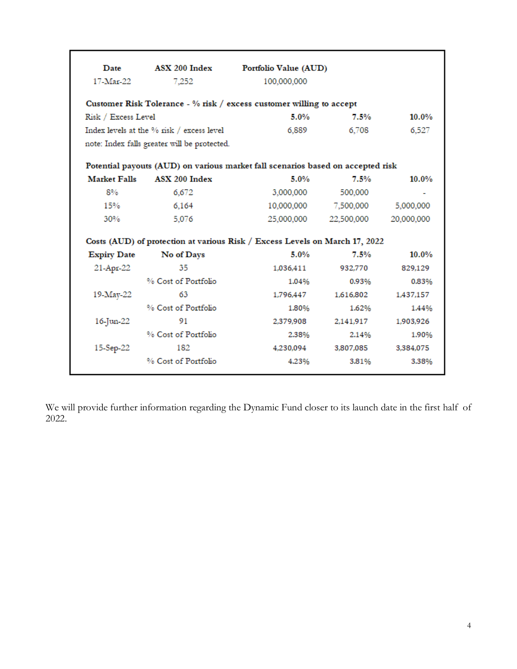| Date                                      | ASX 200 Index                                | Portfolio Value (AUD)                                                           |            |            |
|-------------------------------------------|----------------------------------------------|---------------------------------------------------------------------------------|------------|------------|
| 17-Mar-22                                 | 7,252                                        | 100,000,000                                                                     |            |            |
|                                           |                                              | Customer Risk Tolerance - % risk / excess customer willing to accept            |            |            |
| Risk / Excess Level                       |                                              | 5.0%                                                                            | 7.5%       | $10.0\%$   |
| Index levels at the % risk / excess level |                                              | 6,889                                                                           | 6.708      | 6,527      |
|                                           | note: Index falls greater will be protected. |                                                                                 |            |            |
|                                           |                                              | Potential payouts (AUD) on various market fall scenarios based on accepted risk |            |            |
| <b>Market Falls</b>                       | ASX 200 Index                                | 5.0%                                                                            | 7.5%       | $10.0\%$   |
| $8\%$                                     | 6,672                                        | 3,000,000                                                                       | 500,000    | ٠          |
| 15%                                       | 6,164                                        | 10,000,000                                                                      | 7,500,000  | 5,000,000  |
| 30%                                       | 5,076                                        | 25,000,000                                                                      | 22,500,000 | 20,000,000 |
|                                           |                                              | Costs (AUD) of protection at various Risk / Excess Levels on March 17, 2022     |            |            |
| <b>Expiry Date</b>                        | No of Days                                   | 5.0%                                                                            | 7.5%       | $10.0\%$   |
| 21-Apr-22                                 | 35                                           | 1,036,411                                                                       | 932.770    | 829,129    |
|                                           | % Cost of Portfolio                          | 1.04%                                                                           | 0.93%      | 0.83%      |
| 19-May-22                                 | 63                                           | 1,796,447                                                                       | 1,616,802  | 1,437,157  |
|                                           | % Cost of Portfolio                          | 1.80%                                                                           | 1.62%      | 1.44%      |
| 16-Jun-22                                 | 91                                           | 2,379,908                                                                       | 2.141.917  | 1,903,926  |
|                                           | % Cost of Portfolio                          | 2.38%                                                                           | 2.14%      | 1.90%      |
| 15-Sep-22                                 | 182                                          | 4,230,094                                                                       | 3,807,085  | 3,384,075  |
|                                           |                                              |                                                                                 |            |            |

We will provide further information regarding the Dynamic Fund closer to its launch date in the first half of 2022.